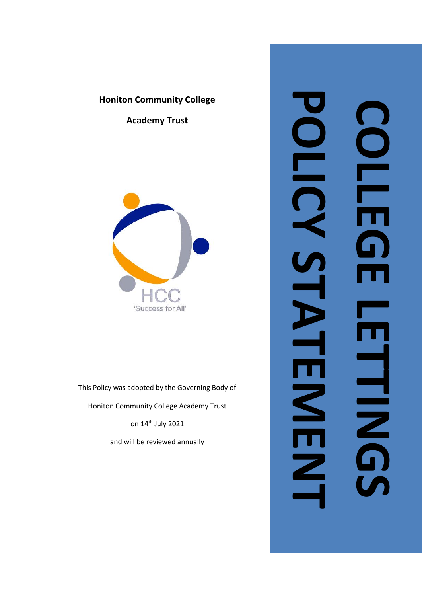# **Honiton Community College**

**Academy Trust**



This Policy was adopted by the Governing Body of

Honiton Community College Academy Trust

on 14<sup>th</sup> July 2021

and will be reviewed annually

# **POLICY STATEMENT COLLEGE LEGE LES** OLD  $\blacksquare$ S. FELENCO D<br>II  $\mathbf{Z}$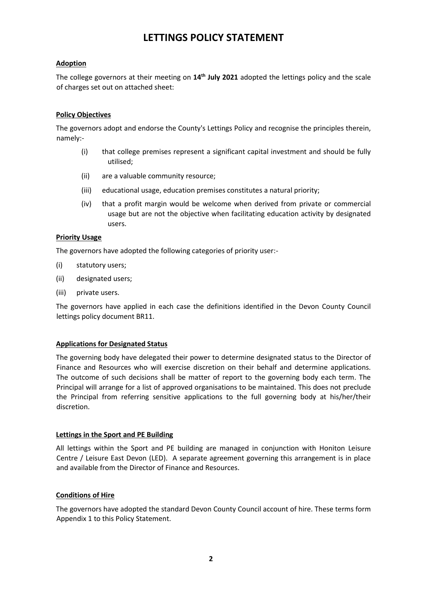# **LETTINGS POLICY STATEMENT**

#### **Adoption**

The college governors at their meeting on **14th July 2021** adopted the lettings policy and the scale of charges set out on attached sheet:

#### **Policy Objectives**

The governors adopt and endorse the County's Lettings Policy and recognise the principles therein, namely:-

- (i) that college premises represent a significant capital investment and should be fully utilised;
- (ii) are a valuable community resource;
- (iii) educational usage, education premises constitutes a natural priority;
- (iv) that a profit margin would be welcome when derived from private or commercial usage but are not the objective when facilitating education activity by designated users.

#### **Priority Usage**

The governors have adopted the following categories of priority user:-

- (i) statutory users;
- (ii) designated users;
- (iii) private users.

The governors have applied in each case the definitions identified in the Devon County Council lettings policy document BR11.

#### **Applications for Designated Status**

The governing body have delegated their power to determine designated status to the Director of Finance and Resources who will exercise discretion on their behalf and determine applications. The outcome of such decisions shall be matter of report to the governing body each term. The Principal will arrange for a list of approved organisations to be maintained. This does not preclude the Principal from referring sensitive applications to the full governing body at his/her/their discretion.

#### **Lettings in the Sport and PE Building**

All lettings within the Sport and PE building are managed in conjunction with Honiton Leisure Centre / Leisure East Devon (LED). A separate agreement governing this arrangement is in place and available from the Director of Finance and Resources.

#### **Conditions of Hire**

The governors have adopted the standard Devon County Council account of hire. These terms form Appendix 1 to this Policy Statement.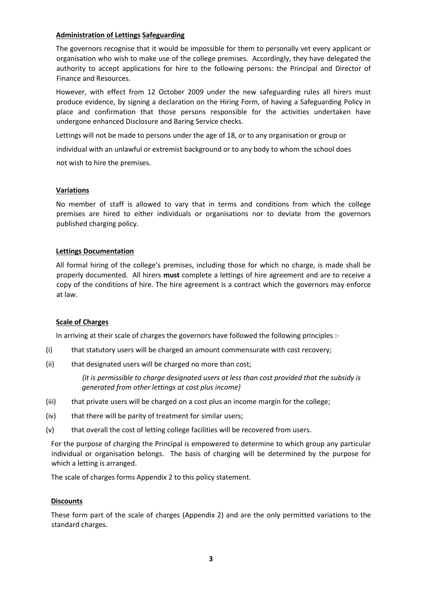#### **Administration of Lettings Safeguarding**

The governors recognise that it would be impossible for them to personally vet every applicant or organisation who wish to make use of the college premises. Accordingly, they have delegated the authority to accept applications for hire to the following persons: the Principal and Director of Finance and Resources.

However, with effect from 12 October 2009 under the new safeguarding rules all hirers must produce evidence, by signing a declaration on the Hiring Form, of having a Safeguarding Policy in place and confirmation that those persons responsible for the activities undertaken have undergone enhanced Disclosure and Baring Service checks.

Lettings will not be made to persons under the age of 18, or to any organisation or group or

individual with an unlawful or extremist background or to any body to whom the school does

not wish to hire the premises.

#### **Variations**

No member of staff is allowed to vary that in terms and conditions from which the college premises are hired to either individuals or organisations nor to deviate from the governors published charging policy.

#### **Lettings Documentation**

All formal hiring of the college's premises, including those for which no charge, is made shall be properly documented. All hirers **must** complete a lettings of hire agreement and are to receive a copy of the conditions of hire. The hire agreement is a contract which the governors may enforce at law.

#### **Scale of Charges**

In arriving at their scale of charges the governors have followed the following principles :-

- (i) that statutory users will be charged an amount commensurate with cost recovery;
- (ii) that designated users will be charged no more than cost;

*{it is permissible to charge designated users at less than cost provided that the subsidy is generated from other lettings at cost plus income}* 

- (iii) that private users will be charged on a cost plus an income margin for the college;
- (iv) that there will be parity of treatment for similar users;
- (v) that overall the cost of letting college facilities will be recovered from users.

For the purpose of charging the Principal is empowered to determine to which group any particular individual or organisation belongs. The basis of charging will be determined by the purpose for which a letting is arranged.

The scale of charges forms Appendix 2 to this policy statement.

#### **Discounts**

These form part of the scale of charges (Appendix 2) and are the only permitted variations to the standard charges.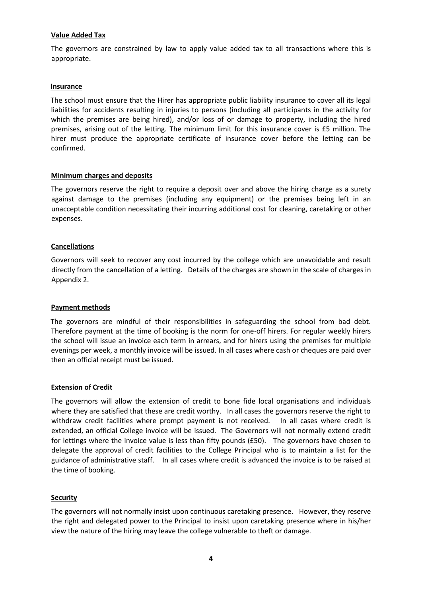#### **Value Added Tax**

The governors are constrained by law to apply value added tax to all transactions where this is appropriate.

#### **Insurance**

The school must ensure that the Hirer has appropriate public liability insurance to cover all its legal liabilities for accidents resulting in injuries to persons (including all participants in the activity for which the premises are being hired), and/or loss of or damage to property, including the hired premises, arising out of the letting. The minimum limit for this insurance cover is £5 million. The hirer must produce the appropriate certificate of insurance cover before the letting can be confirmed.

#### **Minimum charges and deposits**

The governors reserve the right to require a deposit over and above the hiring charge as a surety against damage to the premises (including any equipment) or the premises being left in an unacceptable condition necessitating their incurring additional cost for cleaning, caretaking or other expenses.

#### **Cancellations**

Governors will seek to recover any cost incurred by the college which are unavoidable and result directly from the cancellation of a letting. Details of the charges are shown in the scale of charges in Appendix 2.

#### **Payment methods**

The governors are mindful of their responsibilities in safeguarding the school from bad debt. Therefore payment at the time of booking is the norm for one-off hirers. For regular weekly hirers the school will issue an invoice each term in arrears, and for hirers using the premises for multiple evenings per week, a monthly invoice will be issued. In all cases where cash or cheques are paid over then an official receipt must be issued.

#### **Extension of Credit**

The governors will allow the extension of credit to bone fide local organisations and individuals where they are satisfied that these are credit worthy. In all cases the governors reserve the right to withdraw credit facilities where prompt payment is not received. In all cases where credit is extended, an official College invoice will be issued. The Governors will not normally extend credit for lettings where the invoice value is less than fifty pounds (£50). The governors have chosen to delegate the approval of credit facilities to the College Principal who is to maintain a list for the guidance of administrative staff. In all cases where credit is advanced the invoice is to be raised at the time of booking.

#### **Security**

The governors will not normally insist upon continuous caretaking presence. However, they reserve the right and delegated power to the Principal to insist upon caretaking presence where in his/her view the nature of the hiring may leave the college vulnerable to theft or damage.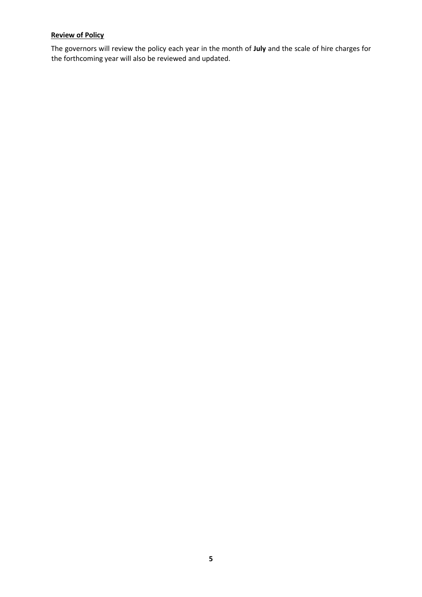## **Review of Policy**

The governors will review the policy each year in the month of **July** and the scale of hire charges for the forthcoming year will also be reviewed and updated.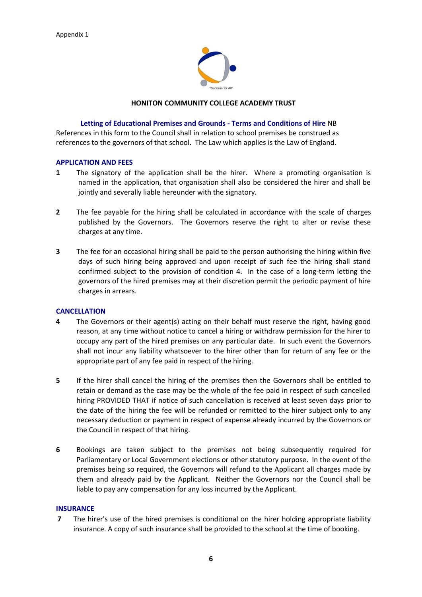

#### **HONITON COMMUNITY COLLEGE ACADEMY TRUST**

#### **Letting of Educational Premises and Grounds - Terms and Conditions of Hire** NB

References in this form to the Council shall in relation to school premises be construed as references to the governors of that school. The Law which applies is the Law of England.

#### **APPLICATION AND FEES**

- **1** The signatory of the application shall be the hirer. Where a promoting organisation is named in the application, that organisation shall also be considered the hirer and shall be jointly and severally liable hereunder with the signatory.
- **2** The fee payable for the hiring shall be calculated in accordance with the scale of charges published by the Governors. The Governors reserve the right to alter or revise these charges at any time.
- **3** The fee for an occasional hiring shall be paid to the person authorising the hiring within five days of such hiring being approved and upon receipt of such fee the hiring shall stand confirmed subject to the provision of condition 4. In the case of a long-term letting the governors of the hired premises may at their discretion permit the periodic payment of hire charges in arrears.

#### **CANCELLATION**

- **4** The Governors or their agent(s) acting on their behalf must reserve the right, having good reason, at any time without notice to cancel a hiring or withdraw permission for the hirer to occupy any part of the hired premises on any particular date. In such event the Governors shall not incur any liability whatsoever to the hirer other than for return of any fee or the appropriate part of any fee paid in respect of the hiring.
- **5** If the hirer shall cancel the hiring of the premises then the Governors shall be entitled to retain or demand as the case may be the whole of the fee paid in respect of such cancelled hiring PROVIDED THAT if notice of such cancellation is received at least seven days prior to the date of the hiring the fee will be refunded or remitted to the hirer subject only to any necessary deduction or payment in respect of expense already incurred by the Governors or the Council in respect of that hiring.
- **6** Bookings are taken subject to the premises not being subsequently required for Parliamentary or Local Government elections or other statutory purpose. In the event of the premises being so required, the Governors will refund to the Applicant all charges made by them and already paid by the Applicant. Neither the Governors nor the Council shall be liable to pay any compensation for any loss incurred by the Applicant.

#### **INSURANCE**

**7** The hirer's use of the hired premises is conditional on the hirer holding appropriate liability insurance. A copy of such insurance shall be provided to the school at the time of booking.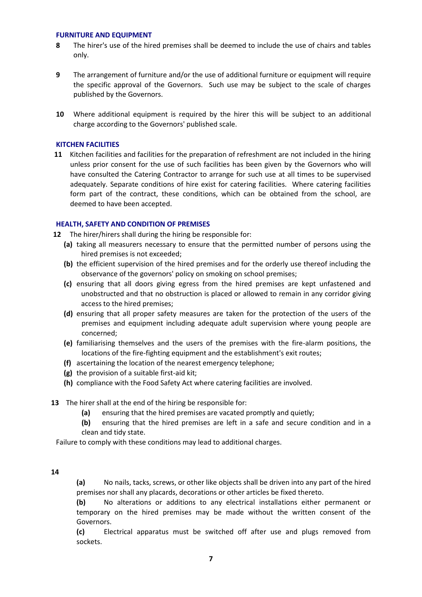#### **FURNITURE AND EQUIPMENT**

- **8** The hirer's use of the hired premises shall be deemed to include the use of chairs and tables only.
- **9** The arrangement of furniture and/or the use of additional furniture or equipment will require the specific approval of the Governors. Such use may be subject to the scale of charges published by the Governors.
- **10** Where additional equipment is required by the hirer this will be subject to an additional charge according to the Governors' published scale.

#### **KITCHEN FACILITIES**

**11** Kitchen facilities and facilities for the preparation of refreshment are not included in the hiring unless prior consent for the use of such facilities has been given by the Governors who will have consulted the Catering Contractor to arrange for such use at all times to be supervised adequately. Separate conditions of hire exist for catering facilities. Where catering facilities form part of the contract, these conditions, which can be obtained from the school, are deemed to have been accepted.

#### **HEALTH, SAFETY AND CONDITION OF PREMISES**

- **12** The hirer/hirers shall during the hiring be responsible for:
	- **(a)** taking all measurers necessary to ensure that the permitted number of persons using the hired premises is not exceeded;
	- **(b)** the efficient supervision of the hired premises and for the orderly use thereof including the observance of the governors' policy on smoking on school premises;
	- **(c)** ensuring that all doors giving egress from the hired premises are kept unfastened and unobstructed and that no obstruction is placed or allowed to remain in any corridor giving access to the hired premises;
	- **(d)** ensuring that all proper safety measures are taken for the protection of the users of the premises and equipment including adequate adult supervision where young people are concerned;
	- **(e)** familiarising themselves and the users of the premises with the fire-alarm positions, the locations of the fire-fighting equipment and the establishment's exit routes;
	- **(f)** ascertaining the location of the nearest emergency telephone;
	- **(g)** the provision of a suitable first-aid kit;
	- **(h)** compliance with the Food Safety Act where catering facilities are involved.
- **13** The hirer shall at the end of the hiring be responsible for:
	- **(a)** ensuring that the hired premises are vacated promptly and quietly;
	- **(b)** ensuring that the hired premises are left in a safe and secure condition and in a clean and tidy state.

Failure to comply with these conditions may lead to additional charges.

#### **14**

**(a)** No nails, tacks, screws, or other like objects shall be driven into any part of the hired premises nor shall any placards, decorations or other articles be fixed thereto.

**(b)** No alterations or additions to any electrical installations either permanent or temporary on the hired premises may be made without the written consent of the Governors.

**(c)** Electrical apparatus must be switched off after use and plugs removed from sockets.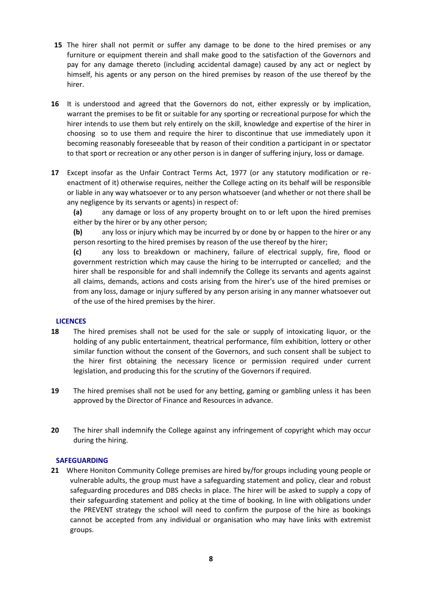- **15** The hirer shall not permit or suffer any damage to be done to the hired premises or any furniture or equipment therein and shall make good to the satisfaction of the Governors and pay for any damage thereto (including accidental damage) caused by any act or neglect by himself, his agents or any person on the hired premises by reason of the use thereof by the hirer.
- **16** It is understood and agreed that the Governors do not, either expressly or by implication, warrant the premises to be fit or suitable for any sporting or recreational purpose for which the hirer intends to use them but rely entirely on the skill, knowledge and expertise of the hirer in choosing so to use them and require the hirer to discontinue that use immediately upon it becoming reasonably foreseeable that by reason of their condition a participant in or spectator to that sport or recreation or any other person is in danger of suffering injury, loss or damage.
- **17** Except insofar as the Unfair Contract Terms Act, 1977 (or any statutory modification or reenactment of it) otherwise requires, neither the College acting on its behalf will be responsible or liable in any way whatsoever or to any person whatsoever (and whether or not there shall be any negligence by its servants or agents) in respect of:

**(a)** any damage or loss of any property brought on to or left upon the hired premises either by the hirer or by any other person;

**(b)** any loss or injury which may be incurred by or done by or happen to the hirer or any person resorting to the hired premises by reason of the use thereof by the hirer;

**(c)** any loss to breakdown or machinery, failure of electrical supply, fire, flood or government restriction which may cause the hiring to be interrupted or cancelled; and the hirer shall be responsible for and shall indemnify the College its servants and agents against all claims, demands, actions and costs arising from the hirer's use of the hired premises or from any loss, damage or injury suffered by any person arising in any manner whatsoever out of the use of the hired premises by the hirer.

## **LICENCES**

- **18** The hired premises shall not be used for the sale or supply of intoxicating liquor, or the holding of any public entertainment, theatrical performance, film exhibition, lottery or other similar function without the consent of the Governors, and such consent shall be subject to the hirer first obtaining the necessary licence or permission required under current legislation, and producing this for the scrutiny of the Governors if required.
- **19** The hired premises shall not be used for any betting, gaming or gambling unless it has been approved by the Director of Finance and Resources in advance.
- **20** The hirer shall indemnify the College against any infringement of copyright which may occur during the hiring.

## **SAFEGUARDING**

**21** Where Honiton Community College premises are hired by/for groups including young people or vulnerable adults, the group must have a safeguarding statement and policy, clear and robust safeguarding procedures and DBS checks in place. The hirer will be asked to supply a copy of their safeguarding statement and policy at the time of booking. In line with obligations under the PREVENT strategy the school will need to confirm the purpose of the hire as bookings cannot be accepted from any individual or organisation who may have links with extremist groups.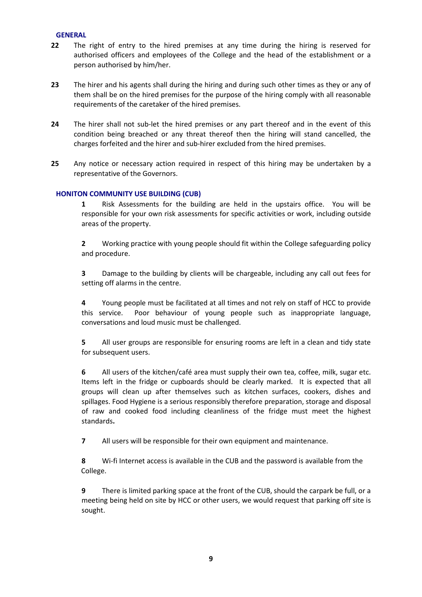#### **GENERAL**

- **22** The right of entry to the hired premises at any time during the hiring is reserved for authorised officers and employees of the College and the head of the establishment or a person authorised by him/her.
- **23** The hirer and his agents shall during the hiring and during such other times as they or any of them shall be on the hired premises for the purpose of the hiring comply with all reasonable requirements of the caretaker of the hired premises.
- **24** The hirer shall not sub-let the hired premises or any part thereof and in the event of this condition being breached or any threat thereof then the hiring will stand cancelled, the charges forfeited and the hirer and sub-hirer excluded from the hired premises.
- **25** Any notice or necessary action required in respect of this hiring may be undertaken by a representative of the Governors.

#### **HONITON COMMUNITY USE BUILDING (CUB)**

**1** Risk Assessments for the building are held in the upstairs office. You will be responsible for your own risk assessments for specific activities or work, including outside areas of the property.

**2** Working practice with young people should fit within the College safeguarding policy and procedure.

**3** Damage to the building by clients will be chargeable, including any call out fees for setting off alarms in the centre.

**4** Young people must be facilitated at all times and not rely on staff of HCC to provide this service. Poor behaviour of young people such as inappropriate language, conversations and loud music must be challenged.

**5** All user groups are responsible for ensuring rooms are left in a clean and tidy state for subsequent users.

**6** All users of the kitchen/café area must supply their own tea, coffee, milk, sugar etc. Items left in the fridge or cupboards should be clearly marked. It is expected that all groups will clean up after themselves such as kitchen surfaces, cookers, dishes and spillages. Food Hygiene is a serious responsibly therefore preparation, storage and disposal of raw and cooked food including cleanliness of the fridge must meet the highest standards**.** 

**7** All users will be responsible for their own equipment and maintenance.

**8** Wi-fi Internet access is available in the CUB and the password is available from the College.

**9** There is limited parking space at the front of the CUB, should the carpark be full, or a meeting being held on site by HCC or other users, we would request that parking off site is sought.